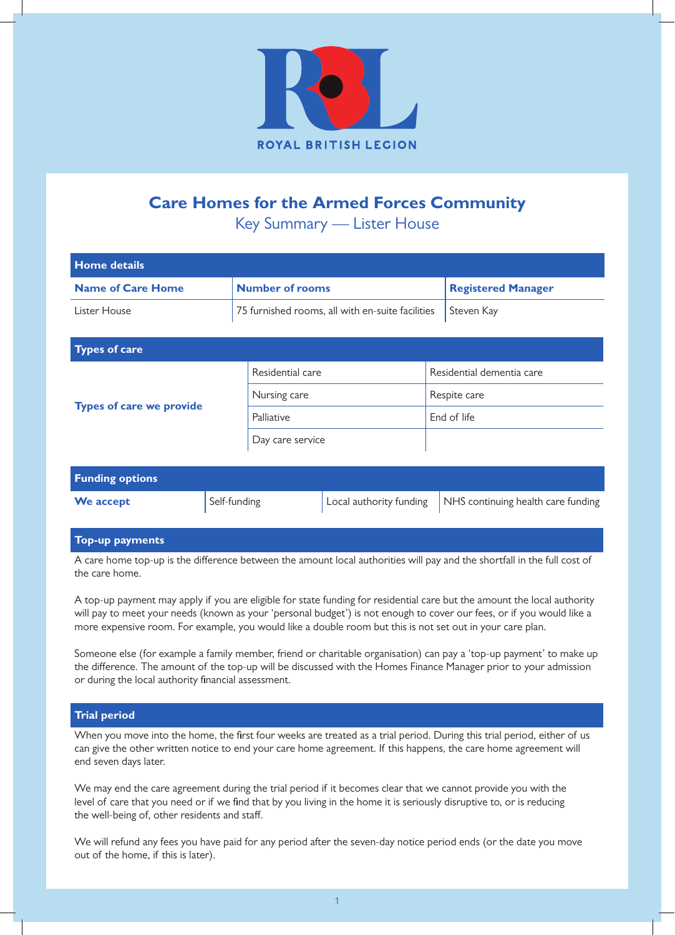

# **Care Homes for the Armed Forces Community**

Key Summary — Lister House

| <b>Home details</b>             |                                                  |                           |  |
|---------------------------------|--------------------------------------------------|---------------------------|--|
| <b>Name of Care Home</b>        | <b>Number of rooms</b>                           | <b>Registered Manager</b> |  |
| Lister House                    | 75 furnished rooms, all with en-suite facilities | Steven Kay                |  |
|                                 |                                                  |                           |  |
| <b>Types of care</b>            |                                                  |                           |  |
| <b>Types of care we provide</b> | Residential care                                 | Residential dementia care |  |
|                                 | Nursing care                                     | Respite care              |  |
|                                 | Palliative                                       | End of life               |  |
|                                 | Day care service                                 |                           |  |

| <b>Funding options</b> |              |                                                                            |
|------------------------|--------------|----------------------------------------------------------------------------|
| We accept              | Self-funding | $\vert$ Local authority funding $\vert$ NHS continuing health care funding |

# **Top-up payments**

A care home top-up is the difference between the amount local authorities will pay and the shortfall in the full cost of the care home.

A top-up payment may apply if you are eligible for state funding for residential care but the amount the local authority will pay to meet your needs (known as your 'personal budget') is not enough to cover our fees, or if you would like a more expensive room. For example, you would like a double room but this is not set out in your care plan.

Someone else (for example a family member, friend or charitable organisation) can pay a 'top-up payment' to make up the difference. The amount of the top-up will be discussed with the Homes Finance Manager prior to your admission or during the local authority financial assessment.

# **Trial period**

When you move into the home, the first four weeks are treated as a trial period. During this trial period, either of us can give the other written notice to end your care home agreement. If this happens, the care home agreement will end seven days later.

We may end the care agreement during the trial period if it becomes clear that we cannot provide you with the level of care that you need or if we find that by you living in the home it is seriously disruptive to, or is reducing the well-being of, other residents and staff.

We will refund any fees you have paid for any period after the seven-day notice period ends (or the date you move out of the home, if this is later).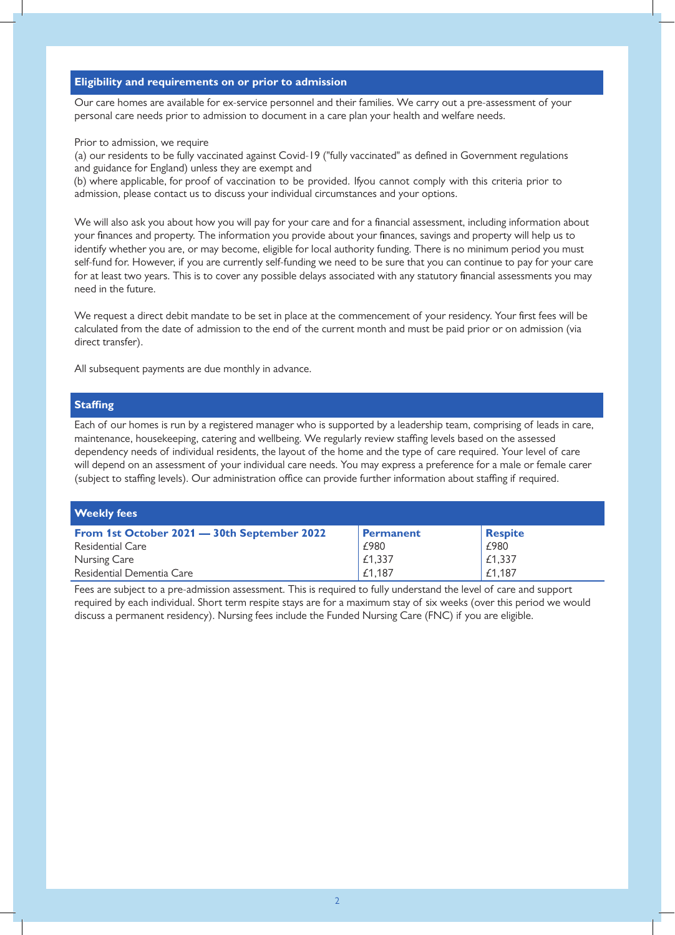# **Eligibility and requirements on or prior to admission**

Our care homes are available for ex-service personnel and their families. We carry out a pre-assessment of your personal care needs prior to admission to document in a care plan your health and welfare needs.

#### Prior to admission, we require

(a) our residents to be fully vaccinated against Covid-19 ("fully vaccinated" as defined in Government regulations and guidance for England) unless they are exempt and

(b) where applicable, for proof of vaccination to be provided. If you cannot comply with this criteria prior to admission, please contact us to discuss your individual circumstances and your options.

We will also ask you about how you will pay for your care and for a financial assessment, including information about your finances and property. The information you provide about your finances, savings and property will help us to identify whether you are, or may become, eligible for local authority funding. There is no minimum period you must self-fund for. However, if you are currently self-funding we need to be sure that you can continue to pay for your care for at least two years. This is to cover any possible delays associated with any statutory financial assessments you may need in the future.

We request a direct debit mandate to be set in place at the commencement of your residency. Your first fees will be calculated from the date of admission to the end of the current month and must be paid prior or on admission (via direct transfer).

All subsequent payments are due monthly in advance.

## **Staffing**

Each of our homes is run by a registered manager who is supported by a leadership team, comprising of leads in care, maintenance, housekeeping, catering and wellbeing. We regularly review staffing levels based on the assessed dependency needs of individual residents, the layout of the home and the type of care required. Your level of care will depend on an assessment of your individual care needs. You may express a preference for a male or female carer (subject to staffing levels). Our administration office can provide further information about staffing if required.

| <b>Weekly fees</b>                          |           |                |
|---------------------------------------------|-----------|----------------|
| From 1st October 2021 - 30th September 2022 | Permanent | <b>Respite</b> |
| Residential Care                            | £980      | £980           |
| Nursing Care                                | E1,337    | £1,337         |
| Residential Dementia Care                   | £1,187    | £1,187         |

Fees are subject to a pre-admission assessment. This is required to fully understand the level of care and support required by each individual. Short term respite stays are for a maximum stay of six weeks (over this period we would discuss a permanent residency). Nursing fees include the Funded Nursing Care (FNC) if you are eligible.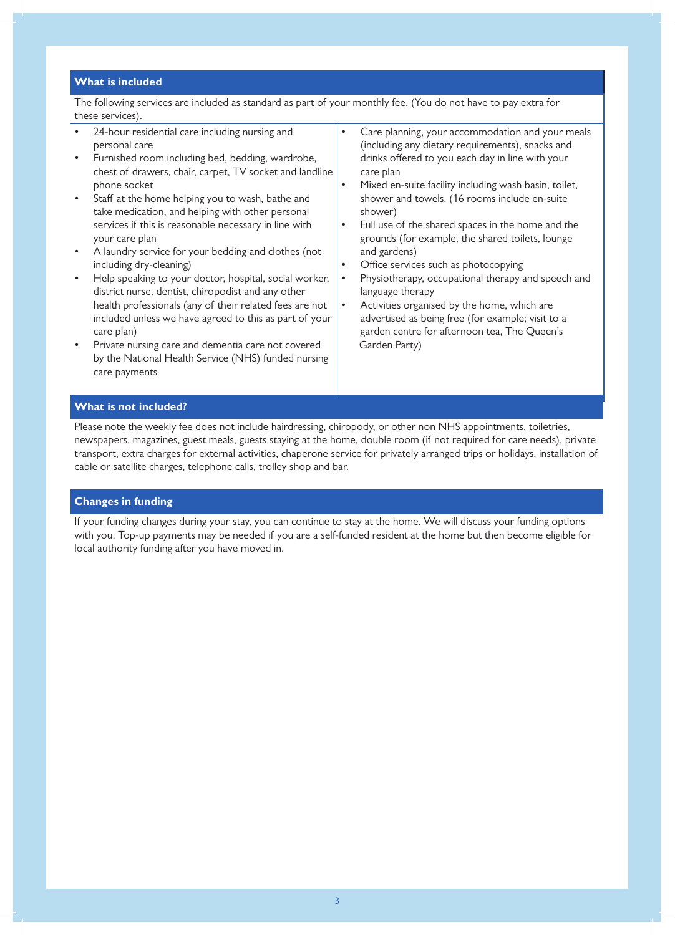## **What is included**

The following services are included as standard as part of your monthly fee. (You do not have to pay extra for these services).

- 24-hour residential care including nursing and personal care
- Furnished room including bed, bedding, wardrobe, chest of drawers, chair, carpet, TV socket and landline phone socket
- Staff at the home helping you to wash, bathe and take medication, and helping with other personal services if this is reasonable necessary in line with your care plan
- A laundry service for your bedding and clothes (not including dry-cleaning)
- Help speaking to your doctor, hospital, social worker, district nurse, dentist, chiropodist and any other health professionals (any of their related fees are not included unless we have agreed to this as part of your care plan)
- Private nursing care and dementia care not covered by the National Health Service (NHS) funded nursing care payments

• Care planning, your accommodation and your meals (including any dietary requirements), snacks and drinks offered to you each day in line with your care plan

- Mixed en-suite facility including wash basin, toilet, shower and towels. (16 rooms include en-suite shower)
- Full use of the shared spaces in the home and the grounds (for example, the shared toilets, lounge and gardens)
- Office services such as photocopying
- Physiotherapy, occupational therapy and speech and language therapy
- Activities organised by the home, which are advertised as being free (for example; visit to a garden centre for afternoon tea, The Queen's Garden Party)

# **What is not included?**

Please note the weekly fee does not include hairdressing, chiropody, or other non NHS appointments, toiletries, newspapers, magazines, guest meals, guests staying at the home, double room (if not required for care needs), private transport, extra charges for external activities, chaperone service for privately arranged trips or holidays, installation of cable or satellite charges, telephone calls, trolley shop and bar.

## **Changes in funding**

If your funding changes during your stay, you can continue to stay at the home. We will discuss your funding options with you. Top-up payments may be needed if you are a self-funded resident at the home but then become eligible for local authority funding after you have moved in.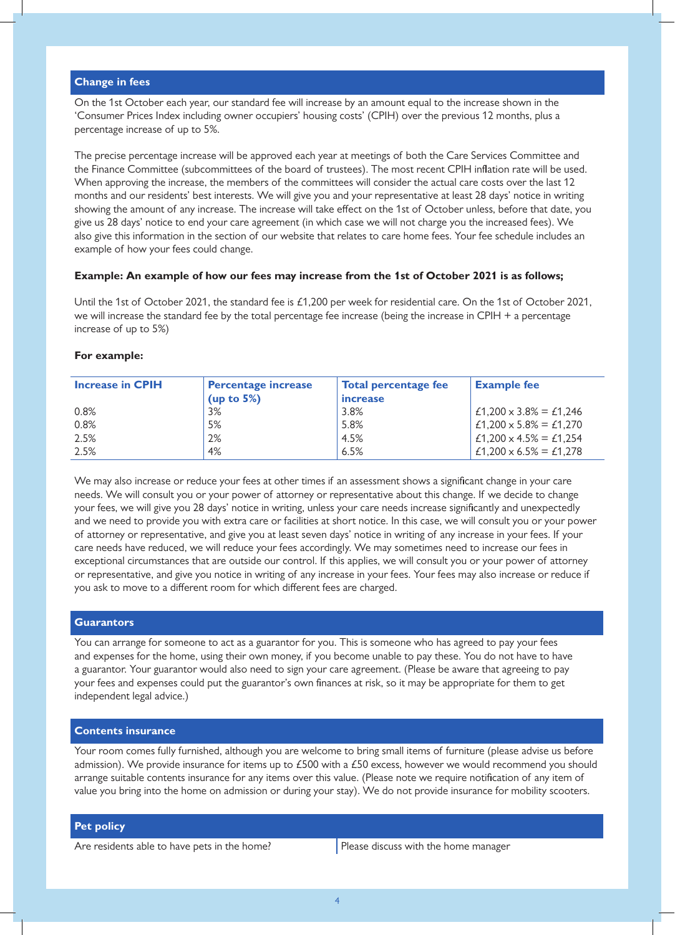## **Change in fees**

On the 1st October each year, our standard fee will increase by an amount equal to the increase shown in the 'Consumer Prices Index including owner occupiers' housing costs' (CPIH) over the previous 12 months, plus a percentage increase of up to 5%.

The precise percentage increase will be approved each year at meetings of both the Care Services Committee and the Finance Committee (subcommittees of the board of trustees). The most recent CPIH inflation rate will be used. When approving the increase, the members of the committees will consider the actual care costs over the last 12 months and our residents' best interests. We will give you and your representative at least 28 days' notice in writing showing the amount of any increase. The increase will take effect on the 1st of October unless, before that date, you give us 28 days' notice to end your care agreement (in which case we will not charge you the increased fees). We also give this information in the section of our website that relates to care home fees. Your fee schedule includes an example of how your fees could change.

## **Example: An example of how our fees may increase from the 1st of October 2021 is as follows;**

Until the 1st of October 2021, the standard fee is £1,200 per week for residential care. On the 1st of October 2021, we will increase the standard fee by the total percentage fee increase (being the increase in CPIH + a percentage increase of up to 5%)

#### **For example:**

| <b>Increase in CPIH</b> | <b>Percentage increase</b> | <b>Total percentage fee</b> | <b>Example fee</b>            |
|-------------------------|----------------------------|-----------------------------|-------------------------------|
|                         | (up to $5\%$ )             | increase                    |                               |
| 0.8%                    | 3%                         | 3.8%                        | £1,200 $\times$ 3.8% = £1,246 |
| 0.8%                    | 5%                         | 5.8%                        | £1,200 $\times$ 5.8% = £1,270 |
| 2.5%                    | 2%                         | 4.5%                        | £1,200 $\times$ 4.5% = £1,254 |
| 2.5%                    | 4%                         | 6.5%                        | £1,200 $\times$ 6.5% = £1,278 |

We may also increase or reduce your fees at other times if an assessment shows a significant change in your care needs. We will consult you or your power of attorney or representative about this change. If we decide to change your fees, we will give you 28 days' notice in writing, unless your care needs increase significantly and unexpectedly and we need to provide you with extra care or facilities at short notice. In this case, we will consult you or your power of attorney or representative, and give you at least seven days' notice in writing of any increase in your fees. If your care needs have reduced, we will reduce your fees accordingly. We may sometimes need to increase our fees in exceptional circumstances that are outside our control. If this applies, we will consult you or your power of attorney or representative, and give you notice in writing of any increase in your fees. Your fees may also increase or reduce if you ask to move to a different room for which different fees are charged.

#### **Guarantors**

You can arrange for someone to act as a guarantor for you. This is someone who has agreed to pay your fees and expenses for the home, using their own money, if you become unable to pay these. You do not have to have a guarantor. Your guarantor would also need to sign your care agreement. (Please be aware that agreeing to pay your fees and expenses could put the guarantor's own finances at risk, so it may be appropriate for them to get independent legal advice.)

# **Contents insurance**

Your room comes fully furnished, although you are welcome to bring small items of furniture (please advise us before admission). We provide insurance for items up to £500 with a £50 excess, however we would recommend you should arrange suitable contents insurance for any items over this value. (Please note we require notification of any item of value you bring into the home on admission or during your stay). We do not provide insurance for mobility scooters.

#### **Pet policy**

Are residents able to have pets in the home?  $|$  Please discuss with the home manager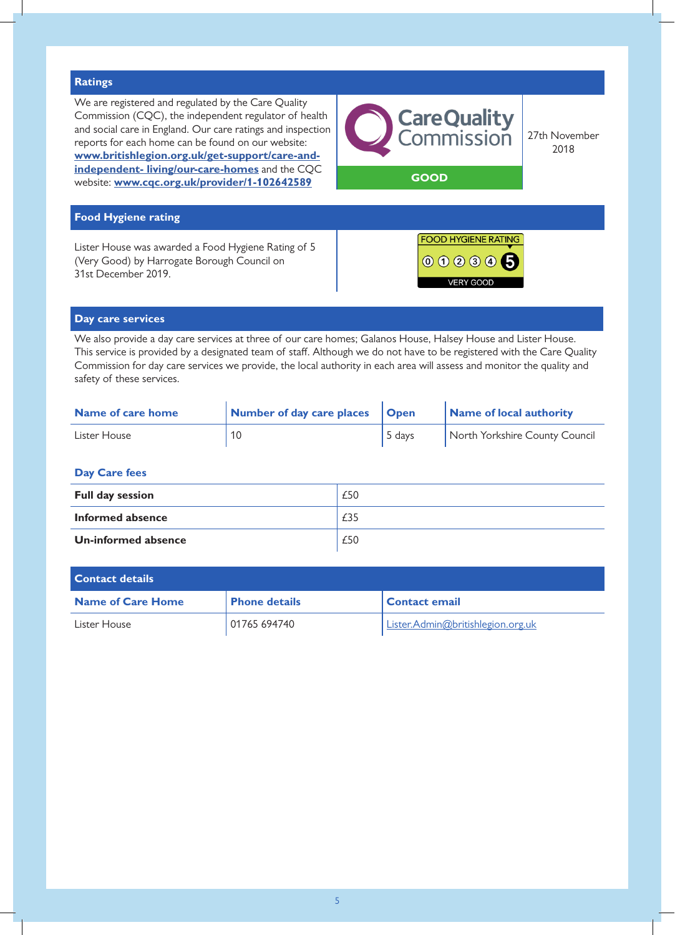

## **Day care services**

We also provide a day care services at three of our care homes; Galanos House, Halsey House and Lister House. This service is provided by a designated team of staff. Although we do not have to be registered with the Care Quality Commission for day care services we provide, the local authority in each area will assess and monitor the quality and safety of these services.

| Name of care home | Number of day care places | <b>Open</b> | Name of local authority        |
|-------------------|---------------------------|-------------|--------------------------------|
| Lister House      |                           | 5 days      | North Yorkshire County Council |

## **Day Care fees**

| <b>Full day session</b> | £50 |
|-------------------------|-----|
| Informed absence        | £35 |
| Un-informed absence     | £50 |

| <b>Contact details</b>   |                      |                                   |  |
|--------------------------|----------------------|-----------------------------------|--|
| <b>Name of Care Home</b> | <b>Phone details</b> | Contact email                     |  |
| Lister House             | 01765 694740         | Lister.Admin@britishlegion.org.uk |  |